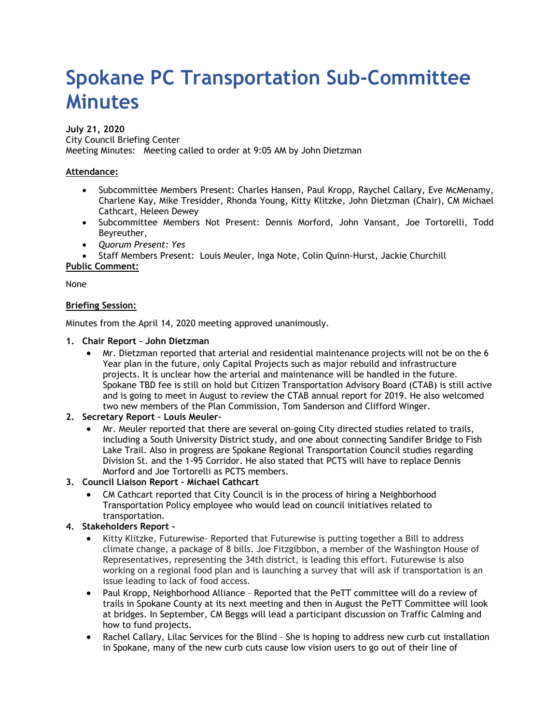# **Spokane PC Transportation Sub-Committee Minutes**

## **July 21, 2020**

City Council Briefing Center Meeting Minutes: Meeting called to order at 9:05 AM by John Dietzman

## **Attendance:**

- Subcommittee Members Present: Charles Hansen, Paul Kropp, Raychel Callary, Eve McMenamy, Charlene Kay, Mike Tresidder, Rhonda Young, Kitty Klitzke, John Dietzman (Chair), CM Michael Cathcart, Heleen Dewey
- Subcommittee Members Not Present: Dennis Morford, John Vansant, Joe Tortorelli, Todd Beyreuther,
- *Quorum Present: Yes*

• Staff Members Present: Louis Meuler, Inga Note, Colin Quinn-Hurst, Jackie Churchill

# **Public Comment:**

None

## **Briefing Session:**

Minutes from the April 14, 2020 meeting approved unanimously.

#### **1. Chair Report – John Dietzman**

- Mr. Dietzman reported that arterial and residential maintenance projects will not be on the 6 Year plan in the future, only Capital Projects such as major rebuild and infrastructure projects. It is unclear how the arterial and maintenance will be handled in the future. Spokane TBD fee is still on hold but Citizen Transportation Advisory Board (CTAB) is still active and is going to meet in August to review the CTAB annual report for 2019. He also welcomed two new members of the Plan Commission, Tom Sanderson and Clifford Winger.
- **2. Secretary Report Louis Meuler-**
	- Mr. Meuler reported that there are several on-going City directed studies related to trails, including a South University District study, and one about connecting Sandifer Bridge to Fish Lake Trail. Also in progress are Spokane Regional Transportation Council studies regarding Division St. and the 1-95 Corridor. He also stated that PCTS will have to replace Dennis Morford and Joe Tortorelli as PCTS members.
- **3. Council Liaison Report Michael Cathcart**
	- CM Cathcart reported that City Council is in the process of hiring a Neighborhood Transportation Policy employee who would lead on council initiatives related to transportation.

# **4. Stakeholders Report -**

- Kitty Klitzke, Futurewise- Reported that Futurewise is putting together a Bill to address climate change, a package of 8 bills. Joe Fitzgibbon, a member of the Washington House of Representatives, representing the 34th district, is leading this effort. Futurewise is also working on a regional food plan and is launching a survey that will ask if transportation is an issue leading to lack of food access.
- Paul Kropp, Neighborhood Alliance Reported that the PeTT committee will do a review of trails in Spokane County at its next meeting and then in August the PeTT Committee will look at bridges. In September, CM Beggs will lead a participant discussion on Traffic Calming and how to fund projects.
- Rachel Callary, Lilac Services for the Blind She is hoping to address new curb cut installation in Spokane, many of the new curb cuts cause low vision users to go out of their line of